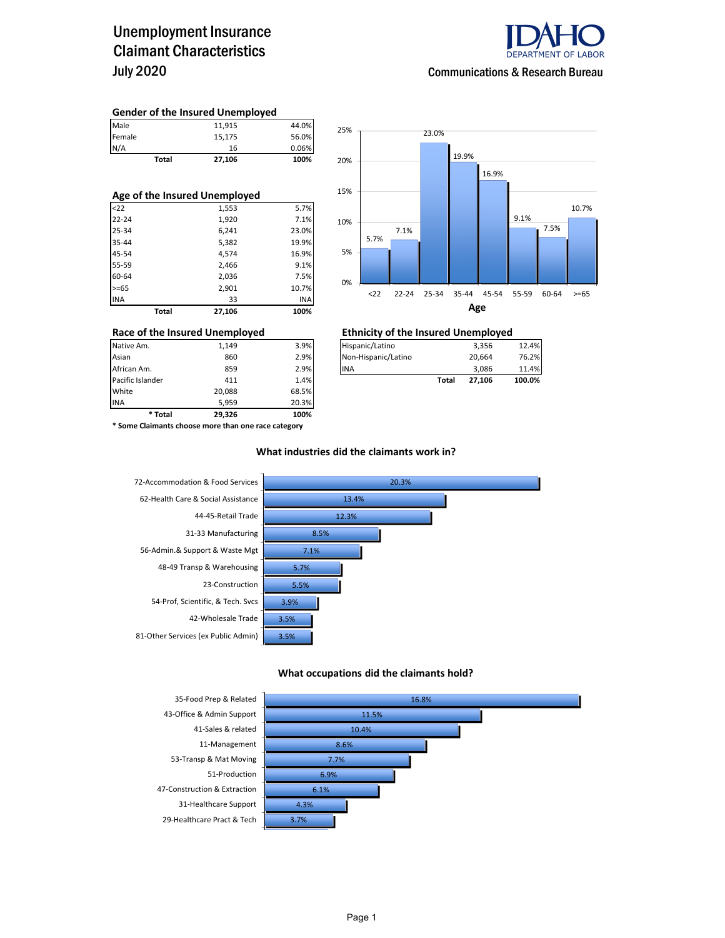### Unemployment Insurance Claimant Characteristics July 2020



### **Gender of the Insured Unemployed**

| Male   | 11,915 | 44.0% |
|--------|--------|-------|
| Female | 15,175 | 56.0% |
| N/A    | 16     | 0.06% |
| Total  | 27,106 | 100%  |
|        |        |       |
|        |        |       |

| Age of the Insured Unemployed |        |            |  |  |  |  |  |
|-------------------------------|--------|------------|--|--|--|--|--|
| < 22                          | 1,553  | 5.7%       |  |  |  |  |  |
| $22 - 24$                     | 1,920  | 7.1%       |  |  |  |  |  |
| 25-34                         | 6,241  | 23.0%      |  |  |  |  |  |
| 35-44                         | 5,382  | 19.9%      |  |  |  |  |  |
| 45-54                         | 4,574  | 16.9%      |  |  |  |  |  |
| 55-59                         | 2,466  | 9.1%       |  |  |  |  |  |
| 60-64                         | 2,036  | 7.5%       |  |  |  |  |  |
| $>= 65$                       | 2,901  | 10.7%      |  |  |  |  |  |
| <b>INA</b>                    | 33     | <b>INA</b> |  |  |  |  |  |
| <b>Total</b>                  | 27.106 | 100%       |  |  |  |  |  |



| Race of the Insured Unemployed |       |      | <b>Ethnicity of the Insured Unemployed</b> |       |        |        |  |  |
|--------------------------------|-------|------|--------------------------------------------|-------|--------|--------|--|--|
| Native Am.                     | 1.149 | 3.9% | Hispanic/Latino                            |       | 3.356  | 12.4%  |  |  |
| Asian                          | 860   | 2.9% | Non-Hispanic/Latino                        |       | 20.664 | 76.2%  |  |  |
| African Am.                    | 859   | 2.9% | <b>INA</b>                                 |       | 3.086  | 11.4%  |  |  |
| Pacific Islander               | 411   | 1.4% |                                            | Total | 27.106 | 100.0% |  |  |

INA 5,959 20.3% **\* Total 29,326 100% \* Some Claimants choose more than one race category**

Pacific Islander **411** 1.4% **1.4% Total 1.4% Total 1.4% Total 1.4% Total 1.4% Total 1.4%** 

20,088 68.5%

### **What industries did the claimants work in?**



#### **What occupations did the claimants hold?**

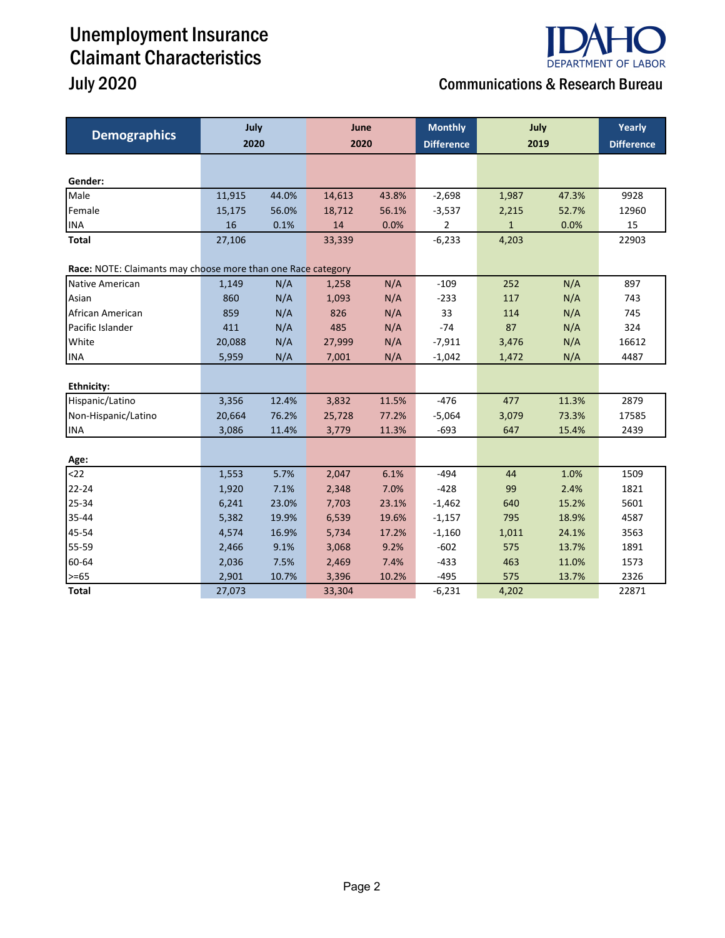# Unemployment Insurance Claimant Characteristics

# **DEPARTMENT OF LABOR**

### July 2020 Communications & Research Bureau

| <b>Demographics</b>                                          | July<br>2020 |       | June<br>2020 |       | <b>Monthly</b><br><b>Difference</b> | July<br>2019 |       | Yearly<br><b>Difference</b> |
|--------------------------------------------------------------|--------------|-------|--------------|-------|-------------------------------------|--------------|-------|-----------------------------|
|                                                              |              |       |              |       |                                     |              |       |                             |
| Gender:                                                      |              |       |              |       |                                     |              |       |                             |
| Male                                                         | 11,915       | 44.0% | 14,613       | 43.8% | $-2,698$                            | 1,987        | 47.3% | 9928                        |
| Female                                                       | 15,175       | 56.0% | 18,712       | 56.1% | $-3,537$                            | 2,215        | 52.7% | 12960                       |
| <b>INA</b>                                                   | 16           | 0.1%  | 14           | 0.0%  | 2                                   | $\mathbf{1}$ | 0.0%  | 15                          |
| Total                                                        | 27,106       |       | 33,339       |       | $-6,233$                            | 4,203        |       | 22903                       |
| Race: NOTE: Claimants may choose more than one Race category |              |       |              |       |                                     |              |       |                             |
| Native American                                              | 1,149        | N/A   | 1,258        | N/A   | $-109$                              | 252          | N/A   | 897                         |
| Asian                                                        | 860          | N/A   | 1,093        | N/A   | $-233$                              | 117          | N/A   | 743                         |
| African American                                             | 859          | N/A   | 826          | N/A   | 33                                  | 114          | N/A   | 745                         |
| Pacific Islander                                             | 411          | N/A   | 485          | N/A   | $-74$                               | 87           | N/A   | 324                         |
| White                                                        | 20,088       | N/A   | 27,999       | N/A   | $-7,911$                            | 3,476        | N/A   | 16612                       |
| <b>INA</b>                                                   | 5,959        | N/A   | 7,001        | N/A   | $-1,042$                            | 1,472        | N/A   | 4487                        |
|                                                              |              |       |              |       |                                     |              |       |                             |
| <b>Ethnicity:</b>                                            |              |       |              |       |                                     |              |       |                             |
| Hispanic/Latino                                              | 3,356        | 12.4% | 3,832        | 11.5% | $-476$                              | 477          | 11.3% | 2879                        |
| Non-Hispanic/Latino                                          | 20,664       | 76.2% | 25,728       | 77.2% | $-5,064$                            | 3,079        | 73.3% | 17585                       |
| <b>INA</b>                                                   | 3,086        | 11.4% | 3,779        | 11.3% | $-693$                              | 647          | 15.4% | 2439                        |
|                                                              |              |       |              |       |                                     |              |       |                             |
| Age:                                                         |              |       |              |       |                                     |              |       |                             |
| $22$                                                         | 1,553        | 5.7%  | 2,047        | 6.1%  | $-494$                              | 44           | 1.0%  | 1509                        |
| $22 - 24$                                                    | 1,920        | 7.1%  | 2,348        | 7.0%  | $-428$                              | 99           | 2.4%  | 1821                        |
| 25-34                                                        | 6,241        | 23.0% | 7,703        | 23.1% | $-1,462$                            | 640          | 15.2% | 5601                        |
| 35-44                                                        | 5,382        | 19.9% | 6,539        | 19.6% | $-1,157$                            | 795          | 18.9% | 4587                        |
| 45-54                                                        | 4,574        | 16.9% | 5,734        | 17.2% | $-1,160$                            | 1,011        | 24.1% | 3563                        |
| 55-59                                                        | 2,466        | 9.1%  | 3,068        | 9.2%  | $-602$                              | 575          | 13.7% | 1891                        |
| 60-64                                                        | 2,036        | 7.5%  | 2,469        | 7.4%  | $-433$                              | 463          | 11.0% | 1573                        |
| $>= 65$                                                      | 2,901        | 10.7% | 3,396        | 10.2% | $-495$                              | 575          | 13.7% | 2326                        |
| <b>Total</b>                                                 | 27,073       |       | 33,304       |       | $-6,231$                            | 4,202        |       | 22871                       |